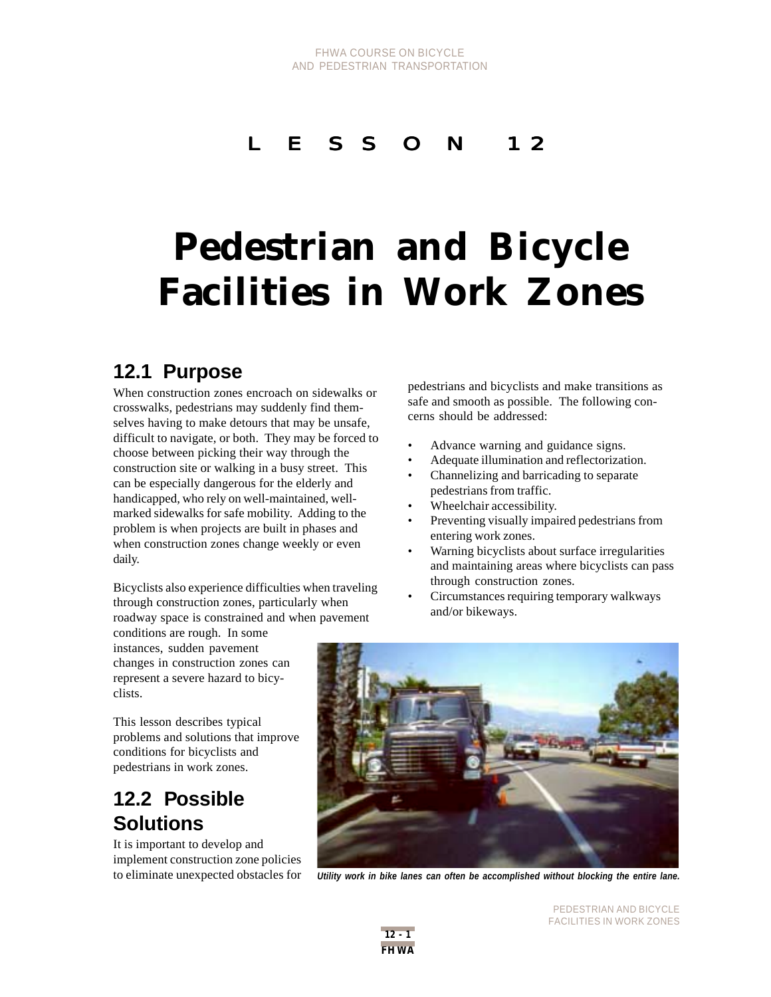### L E S S O N 12

# **Pedestrian and Bicycle Facilities in Work Zones**

### **12.1 Purpose**

When construction zones encroach on sidewalks or crosswalks, pedestrians may suddenly find themselves having to make detours that may be unsafe, difficult to navigate, or both. They may be forced to choose between picking their way through the construction site or walking in a busy street. This can be especially dangerous for the elderly and handicapped, who rely on well-maintained, wellmarked sidewalks for safe mobility. Adding to the problem is when projects are built in phases and when construction zones change weekly or even daily.

Bicyclists also experience difficulties when traveling through construction zones, particularly when roadway space is constrained and when pavement

pedestrians and bicyclists and make transitions as safe and smooth as possible. The following concerns should be addressed:

- Advance warning and guidance signs.
- Adequate illumination and reflectorization.
- Channelizing and barricading to separate pedestrians from traffic.
- Wheelchair accessibility.
- Preventing visually impaired pedestrians from entering work zones.
- Warning bicyclists about surface irregularities and maintaining areas where bicyclists can pass through construction zones.
- Circumstances requiring temporary walkways and/or bikeways.

conditions are rough. In some instances, sudden pavement changes in construction zones can represent a severe hazard to bicyclists.

This lesson describes typical problems and solutions that improve conditions for bicyclists and pedestrians in work zones.

### **12.2 Possible Solutions**

It is important to develop and implement construction zone policies



to eliminate unexpected obstacles for *Utility work in bike lanes can often be accomplished without blocking the entire lane.*



PEDESTRIAN AND BICYCLE FACILITIES IN WORK ZONES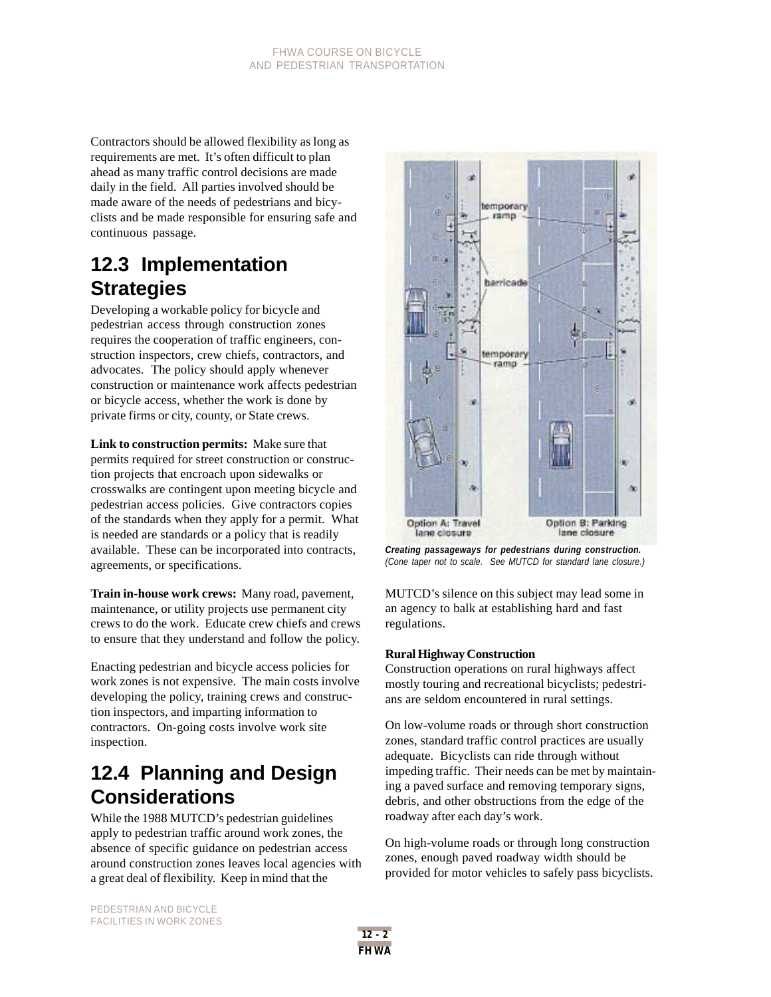Contractors should be allowed flexibility as long as requirements are met. It's often difficult to plan ahead as many traffic control decisions are made daily in the field. All parties involved should be made aware of the needs of pedestrians and bicyclists and be made responsible for ensuring safe and continuous passage.

### **12.3 Implementation Strategies**

Developing a workable policy for bicycle and pedestrian access through construction zones requires the cooperation of traffic engineers, construction inspectors, crew chiefs, contractors, and advocates. The policy should apply whenever construction or maintenance work affects pedestrian or bicycle access, whether the work is done by private firms or city, county, or State crews.

**Link to construction permits:** Make sure that permits required for street construction or construction projects that encroach upon sidewalks or crosswalks are contingent upon meeting bicycle and pedestrian access policies. Give contractors copies of the standards when they apply for a permit. What is needed are standards or a policy that is readily available. These can be incorporated into contracts, agreements, or specifications.

**Train in-house work crews:** Many road, pavement, maintenance, or utility projects use permanent city crews to do the work. Educate crew chiefs and crews to ensure that they understand and follow the policy.

Enacting pedestrian and bicycle access policies for work zones is not expensive. The main costs involve developing the policy, training crews and construction inspectors, and imparting information to contractors. On-going costs involve work site inspection.

## **12.4 Planning and Design Considerations**

While the 1988 MUTCD's pedestrian guidelines apply to pedestrian traffic around work zones, the absence of specific guidance on pedestrian access around construction zones leaves local agencies with a great deal of flexibility. Keep in mind that the



*Creating passageways for pedestrians during construction. (Cone taper not to scale. See MUTCD for standard lane closure.)*

MUTCD's silence on this subject may lead some in an agency to balk at establishing hard and fast regulations.

#### **Rural Highway Construction**

Construction operations on rural highways affect mostly touring and recreational bicyclists; pedestrians are seldom encountered in rural settings.

On low-volume roads or through short construction zones, standard traffic control practices are usually adequate. Bicyclists can ride through without impeding traffic. Their needs can be met by maintaining a paved surface and removing temporary signs, debris, and other obstructions from the edge of the roadway after each day's work.

On high-volume roads or through long construction zones, enough paved roadway width should be provided for motor vehicles to safely pass bicyclists.

PEDESTRIAN AND BICYCLE FACILITIES IN WORK ZONES

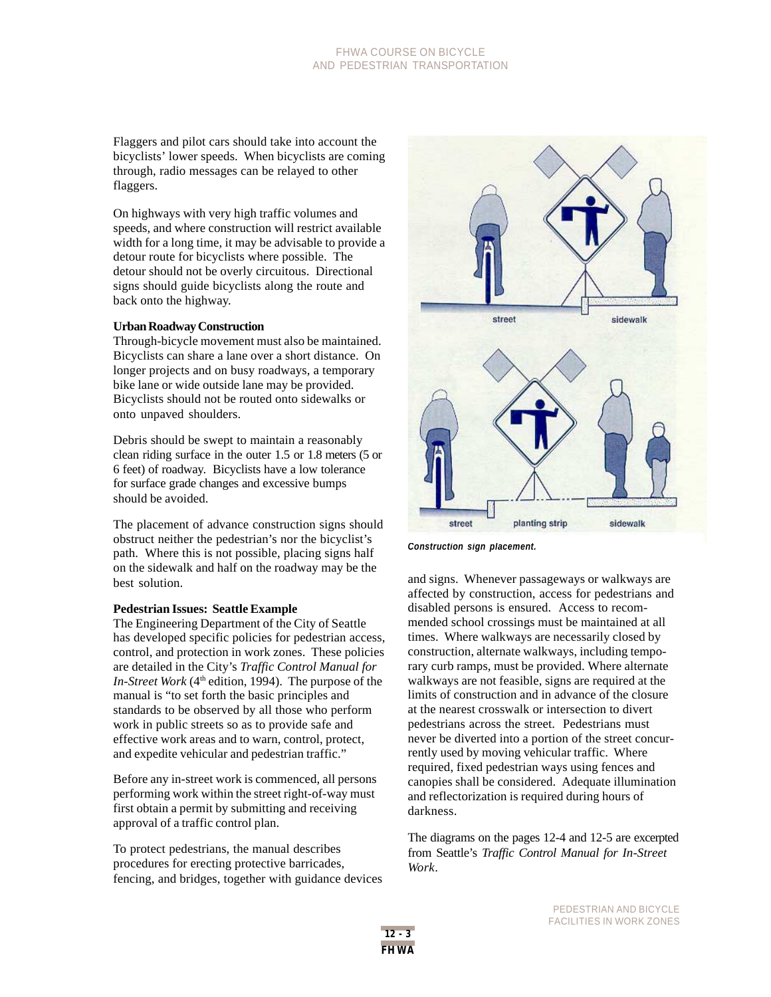#### FHWA COURSE ON BICYCLE AND PEDESTRIAN TRANSPORTATION

Flaggers and pilot cars should take into account the bicyclists' lower speeds. When bicyclists are coming through, radio messages can be relayed to other flaggers.

On highways with very high traffic volumes and speeds, and where construction will restrict available width for a long time, it may be advisable to provide a detour route for bicyclists where possible. The detour should not be overly circuitous. Directional signs should guide bicyclists along the route and back onto the highway.

#### **Urban Roadway Construction**

Through-bicycle movement must also be maintained. Bicyclists can share a lane over a short distance. On longer projects and on busy roadways, a temporary bike lane or wide outside lane may be provided. Bicyclists should not be routed onto sidewalks or onto unpaved shoulders.

Debris should be swept to maintain a reasonably clean riding surface in the outer 1.5 or 1.8 meters (5 or 6 feet) of roadway. Bicyclists have a low tolerance for surface grade changes and excessive bumps should be avoided.

The placement of advance construction signs should obstruct neither the pedestrian's nor the bicyclist's path. Where this is not possible, placing signs half on the sidewalk and half on the roadway may be the best solution.

#### **Pedestrian Issues: Seattle Example**

The Engineering Department of the City of Seattle has developed specific policies for pedestrian access, control, and protection in work zones. These policies are detailed in the City's *Traffic Control Manual for In-Street Work* ( $4<sup>th</sup>$  edition, 1994). The purpose of the manual is "to set forth the basic principles and standards to be observed by all those who perform work in public streets so as to provide safe and effective work areas and to warn, control, protect, and expedite vehicular and pedestrian traffic."

Before any in-street work is commenced, all persons performing work within the street right-of-way must first obtain a permit by submitting and receiving approval of a traffic control plan.

To protect pedestrians, the manual describes procedures for erecting protective barricades, fencing, and bridges, together with guidance devices



*Construction sign placement.*

and signs. Whenever passageways or walkways are affected by construction, access for pedestrians and disabled persons is ensured. Access to recommended school crossings must be maintained at all times. Where walkways are necessarily closed by construction, alternate walkways, including temporary curb ramps, must be provided. Where alternate walkways are not feasible, signs are required at the limits of construction and in advance of the closure at the nearest crosswalk or intersection to divert pedestrians across the street. Pedestrians must never be diverted into a portion of the street concurrently used by moving vehicular traffic. Where required, fixed pedestrian ways using fences and canopies shall be considered. Adequate illumination and reflectorization is required during hours of darkness.

The diagrams on the pages 12-4 and 12-5 are excerpted from Seattle's *Traffic Control Manual for In-Street Work*.

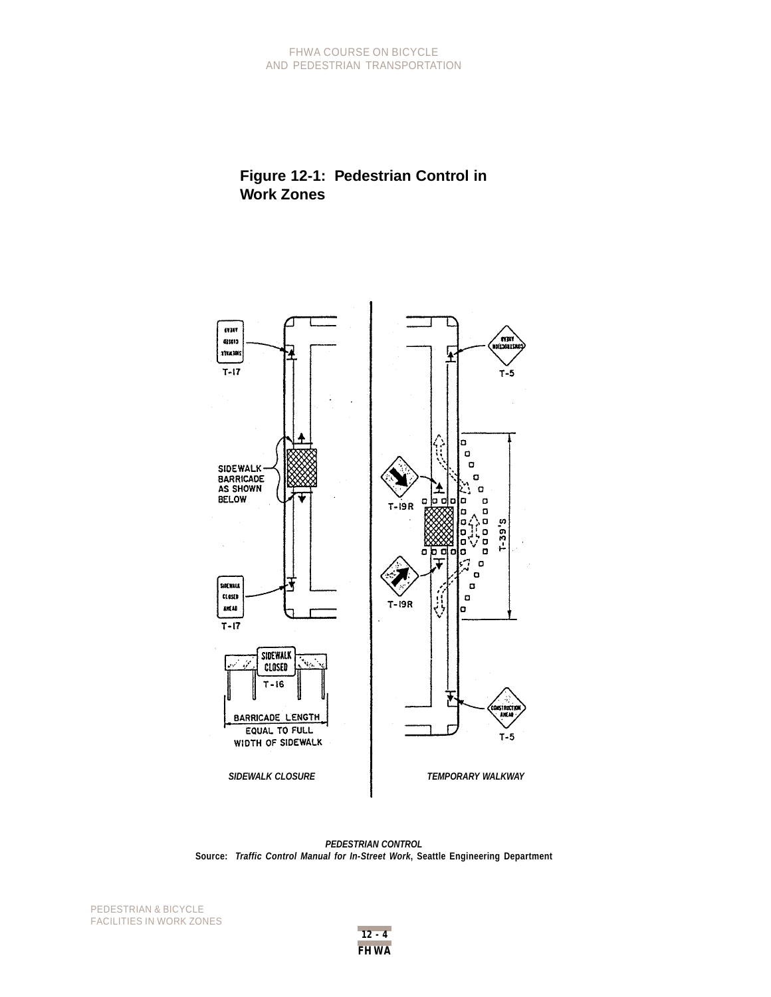#### FHWA COURSE ON BICYCLE AND PEDESTRIAN TRANSPORTATION

### **Figure 12-1: Pedestrian Control in Work Zones**



*PEDESTRIAN CONTROL* **Source:** *Traffic Control Manual for In-Street Work***, Seattle Engineering Department**

PEDESTRIAN & BICYCLE FACILITIES IN WORK ZONES

**FHWA 12 - 4**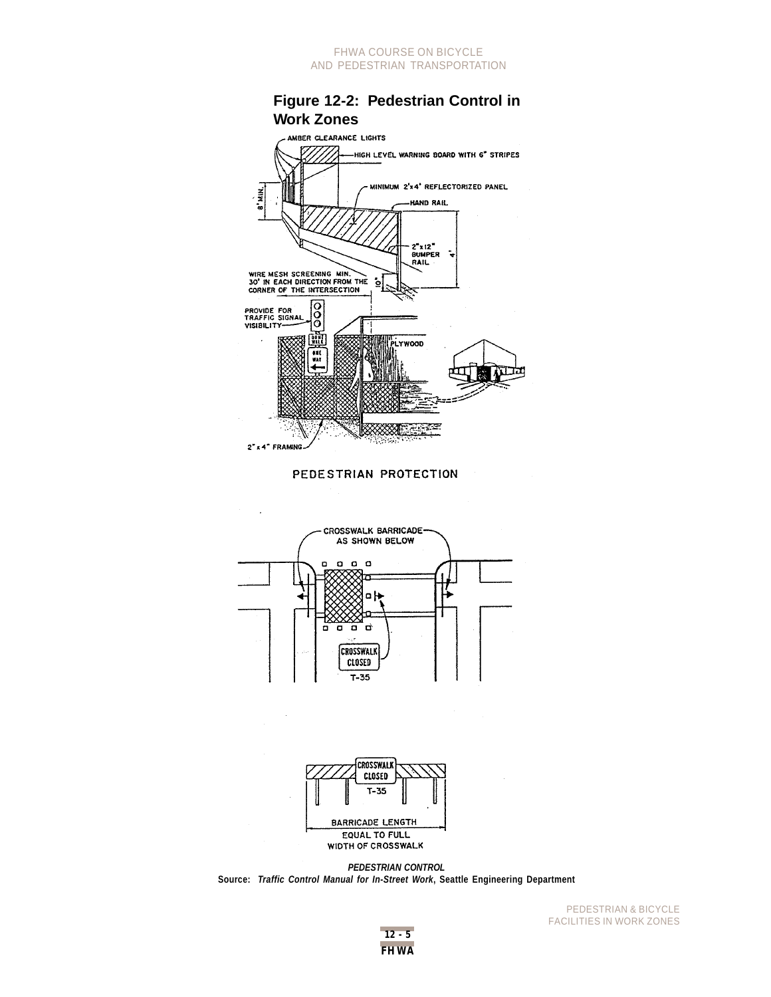#### FHWA COURSE ON BICYCLE AND PEDESTRIAN TRANSPORTATION









*PEDESTRIAN CONTROL* **Source:** *Traffic Control Manual for In-Street Work***, Seattle Engineering Department**



PEDESTRIAN & BICYCLE FACILITIES IN WORK ZONES